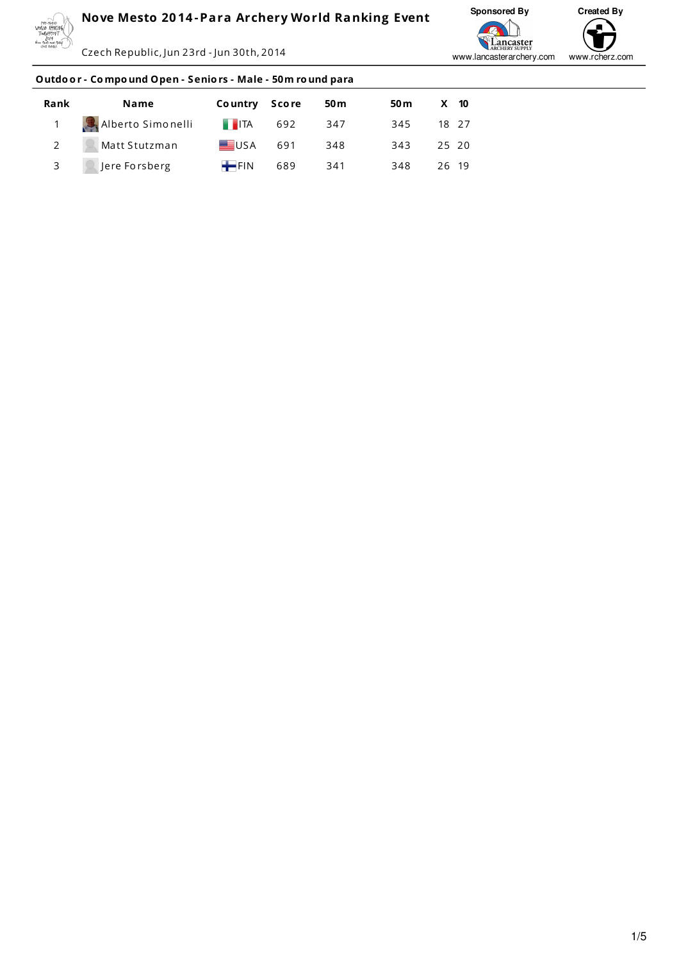

Czech Republic, Jun 23rd - Jun 30th, 2014



#### **Outdo o r - Co mpo und Open - Senio rs - Male - 50m ro und para**

| Rank        | Name                       | Country Score          | 50 <sub>m</sub> | 50 m | $X$ 10 |
|-------------|----------------------------|------------------------|-----------------|------|--------|
|             | 1 Alberto Simonelli        | $\blacksquare$ ITA 692 | 347             | 345  | 18 27  |
| $2^{\circ}$ | $\mathbb{R}$ Matt Stutzman | USA 691                | 348             | 343  | 25 20  |
|             | 3 <b>Q</b> Jere Forsberg   | $FIN$ 689              | 341             | 348  | 26 19  |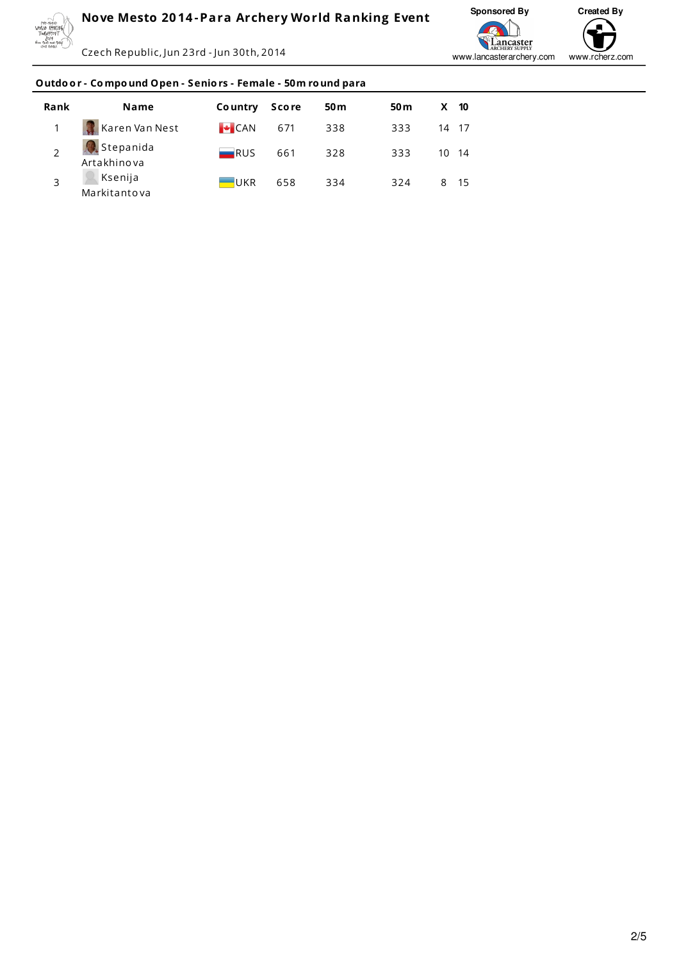

Czech Republic, Jun 23rd - Jun 30th, 2014



# Outdoor - Compound Open - Seniors - Female - 50m round para

| Rank           | <b>Name</b>              | <b>Country</b>     | <b>Score</b> | 50 <sub>m</sub> | 50 <sub>m</sub> | $X$ 10 |  |
|----------------|--------------------------|--------------------|--------------|-----------------|-----------------|--------|--|
|                | Karen Van Nest           | $\big $ CAN        | 671          | 338             | 333             | 14 17  |  |
| $\overline{ }$ | Stepanida<br>Artakhinova | $\blacksquare$ RUS | 661          | 328             | 333             | 10 14  |  |
|                | Ksenija<br>Markitantova  | $-UKR$             | 658          | 334             | 324             | 8 15   |  |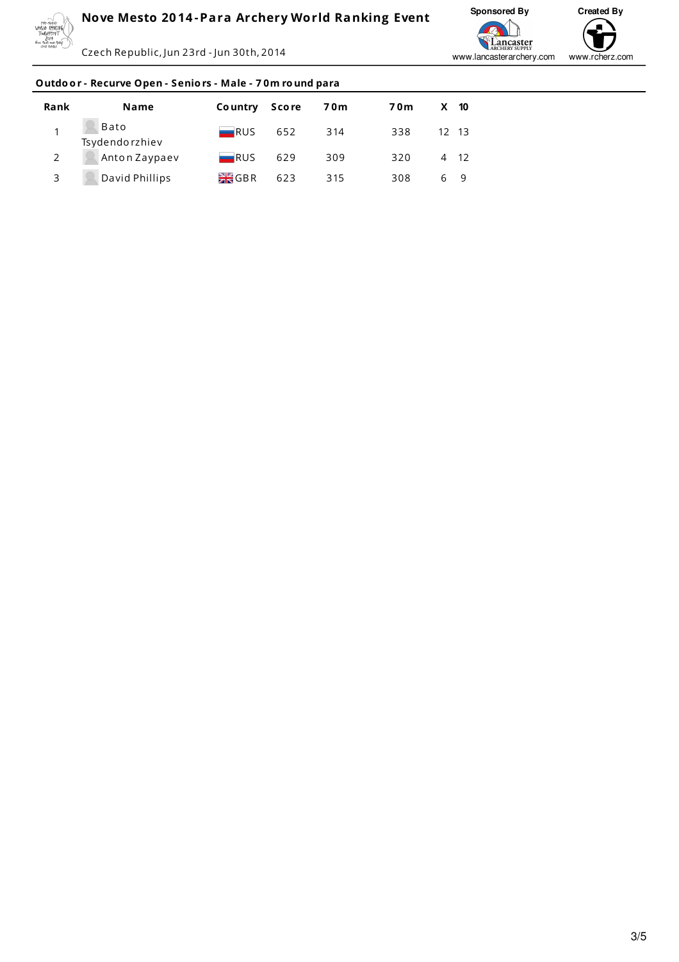

Czech Republic, Jun 23rd - Jun 30th, 2014



# Outdoor - Recurve Open - Seniors - Male - 70m round para

| Rank | <b>Name</b>            | Country Score      |     | 70m | 70m | $X$ 10        |      |
|------|------------------------|--------------------|-----|-----|-----|---------------|------|
|      | Bato<br>Tsydendorzhiev | RUS                | 652 | 314 | 338 | $12 \quad 13$ |      |
|      | Anton Zaypaev          | $\blacksquare$ RUS | 629 | 309 | 320 |               | 4 12 |
| 3    | David Phillips         | <b>EK</b> GBR      | 623 | 315 | 308 | 69            |      |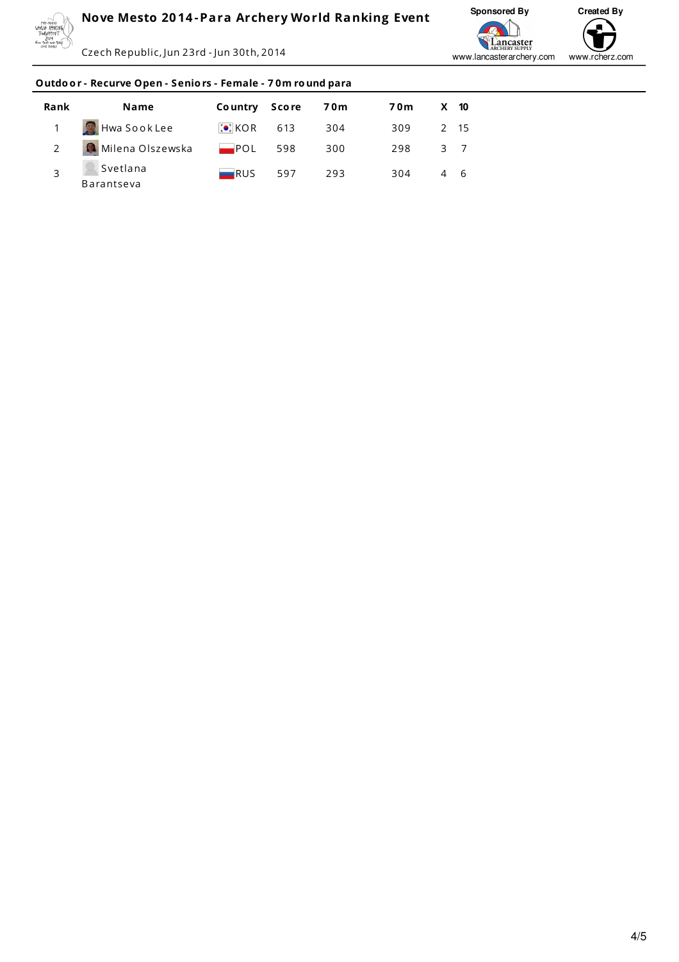

Czech Republic, Jun 23rd - Jun 30th, 2014



# Outdoor - Recurve Open - Seniors - Female - 70m round para

| Rank | Name                   | Country Score      |     | <b>70m</b> | 70m | X 10 |  |
|------|------------------------|--------------------|-----|------------|-----|------|--|
|      | Hwa Sook Lee           | $ O $ KOR 613      |     | 304        | 309 | 2 15 |  |
|      | Milena Olszewska       | $POL$ 598          |     | 300        | 298 | 3 7  |  |
|      | Svetlana<br>Barantseva | $\blacksquare$ RUS | 597 | 293        | 304 | 4 6  |  |